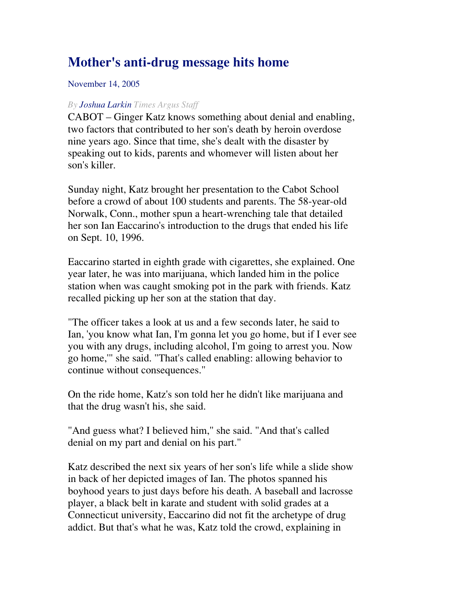## **Mother's anti-drug message hits home**

## November 14, 2005

## *By Joshua Larkin Times Argus Staff*

CABOT – Ginger Katz knows something about denial and enabling, two factors that contributed to her son's death by heroin overdose nine years ago. Since that time, she's dealt with the disaster by speaking out to kids, parents and whomever will listen about her son's killer.

Sunday night, Katz brought her presentation to the Cabot School before a crowd of about 100 students and parents. The 58-year-old Norwalk, Conn., mother spun a heart-wrenching tale that detailed her son Ian Eaccarino's introduction to the drugs that ended his life on Sept. 10, 1996.

Eaccarino started in eighth grade with cigarettes, she explained. One year later, he was into marijuana, which landed him in the police station when was caught smoking pot in the park with friends. Katz recalled picking up her son at the station that day.

"The officer takes a look at us and a few seconds later, he said to Ian, 'you know what Ian, I'm gonna let you go home, but if I ever see you with any drugs, including alcohol, I'm going to arrest you. Now go home,'" she said. "That's called enabling: allowing behavior to continue without consequences."

On the ride home, Katz's son told her he didn't like marijuana and that the drug wasn't his, she said.

"And guess what? I believed him," she said. "And that's called denial on my part and denial on his part."

Katz described the next six years of her son's life while a slide show in back of her depicted images of Ian. The photos spanned his boyhood years to just days before his death. A baseball and lacrosse player, a black belt in karate and student with solid grades at a Connecticut university, Eaccarino did not fit the archetype of drug addict. But that's what he was, Katz told the crowd, explaining in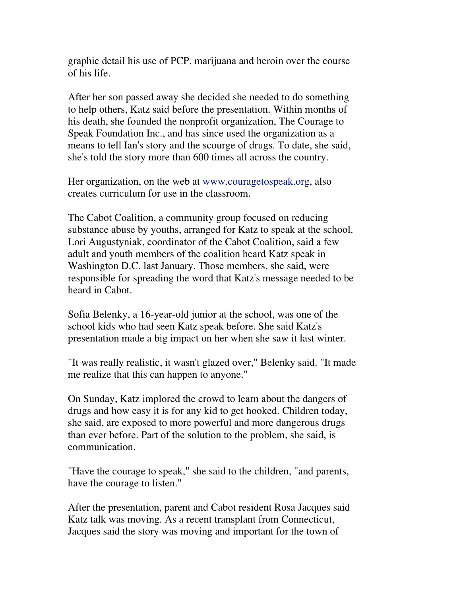graphic detail his use of PCP, marijuana and heroin over the course of his life.

After her son passed away she decided she needed to do something to help others, Katz said before the presentation. Within months of his death, she founded the nonprofit organization, The Courage to Speak Foundation Inc., and has since used the organization as a means to tell Ian's story and the scourge of drugs. To date, she said, she's told the story more than 600 times all across the country.

Her organization, on the web at www.couragetospeak.org, also creates curriculum for use in the classroom.

The Cabot Coalition, a community group focused on reducing substance abuse by youths, arranged for Katz to speak at the school. Lori Augustyniak, coordinator of the Cabot Coalition, said a few adult and youth members of the coalition heard Katz speak in Washington D.C. last January. Those members, she said, were responsible for spreading the word that Katz's message needed to be heard in Cabot.

Sofia Belenky, a 16-year-old junior at the school, was one of the school kids who had seen Katz speak before. She said Katz's presentation made a big impact on her when she saw it last winter.

"It was really realistic, it wasn't glazed over," Belenky said. "It made me realize that this can happen to anyone."

On Sunday, Katz implored the crowd to learn about the dangers of drugs and how easy it is for any kid to get hooked. Children today, she said, are exposed to more powerful and more dangerous drugs than ever before. Part of the solution to the problem, she said, is communication.

"Have the courage to speak," she said to the children, "and parents, have the courage to listen."

After the presentation, parent and Cabot resident Rosa Jacques said Katz talk was moving. As a recent transplant from Connecticut, Jacques said the story was moving and important for the town of